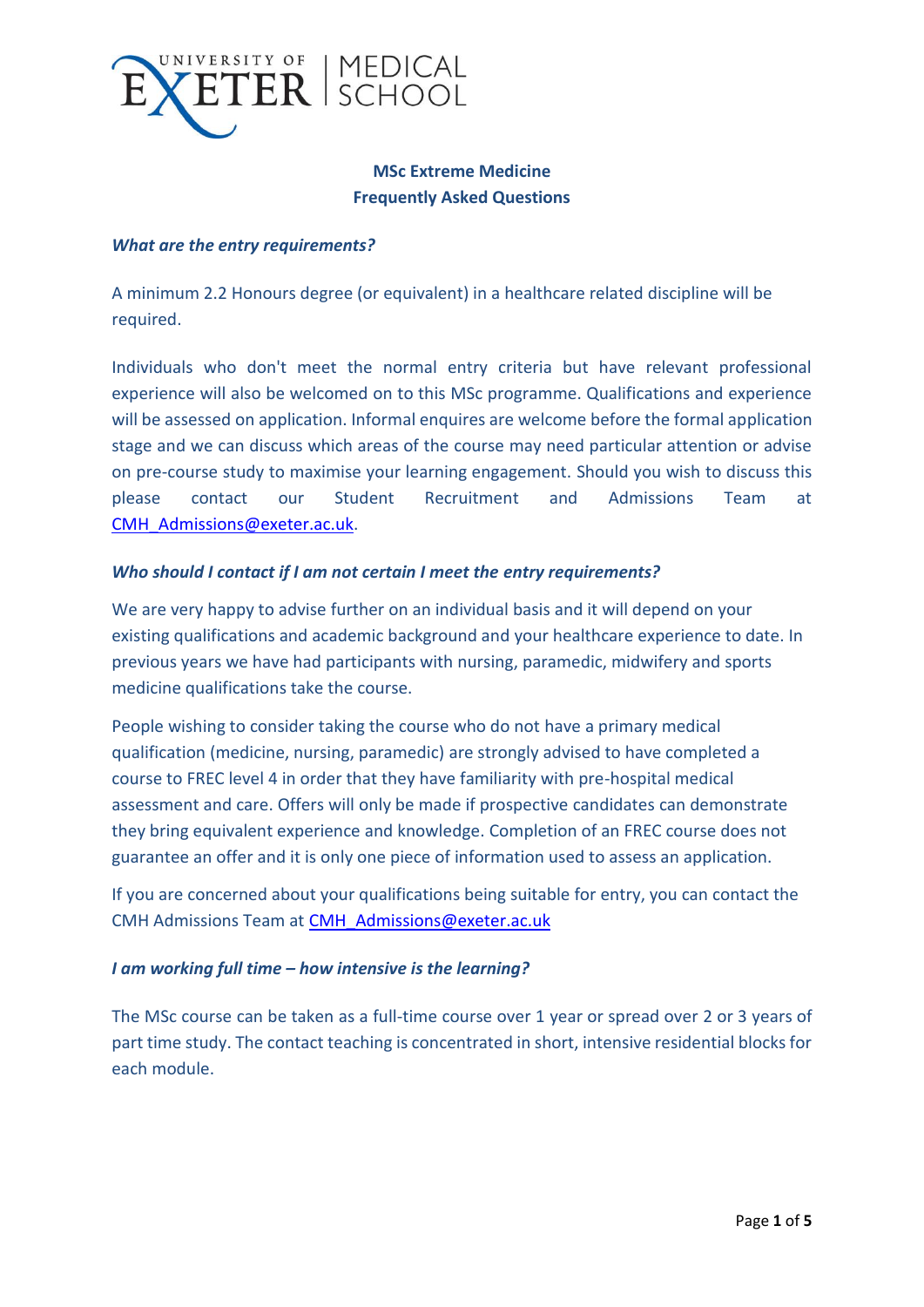

# **MSc Extreme Medicine Frequently Asked Questions**

## *What are the entry requirements?*

A minimum 2.2 Honours degree (or equivalent) in a healthcare related discipline will be required.

Individuals who don't meet the normal entry criteria but have relevant professional experience will also be welcomed on to this MSc programme. Qualifications and experience will be assessed on application. Informal enquires are welcome before the formal application stage and we can discuss which areas of the course may need particular attention or advise on pre-course study to maximise your learning engagement. Should you wish to discuss this please contact our Student Recruitment and Admissions Team at [CMH\\_Admissions@exeter.ac.uk.](mailto:CMH_Admissions@exeter.ac.uk)

### *Who should I contact if I am not certain I meet the entry requirements?*

We are very happy to advise further on an individual basis and it will depend on your existing qualifications and academic background and your healthcare experience to date. In previous years we have had participants with nursing, paramedic, midwifery and sports medicine qualifications take the course.

People wishing to consider taking the course who do not have a primary medical qualification (medicine, nursing, paramedic) are strongly advised to have completed a course to FREC level 4 in order that they have familiarity with pre-hospital medical assessment and care. Offers will only be made if prospective candidates can demonstrate they bring equivalent experience and knowledge. Completion of an FREC course does not guarantee an offer and it is only one piece of information used to assess an application.

If you are concerned about your qualifications being suitable for entry, you can contact the CMH Admissions Team at [CMH\\_Admissions@exeter.ac.uk](mailto:CMH_Admissions@exeter.ac.uk)

# *I am working full time – how intensive is the learning?*

The MSc course can be taken as a full-time course over 1 year or spread over 2 or 3 years of part time study. The contact teaching is concentrated in short, intensive residential blocks for each module.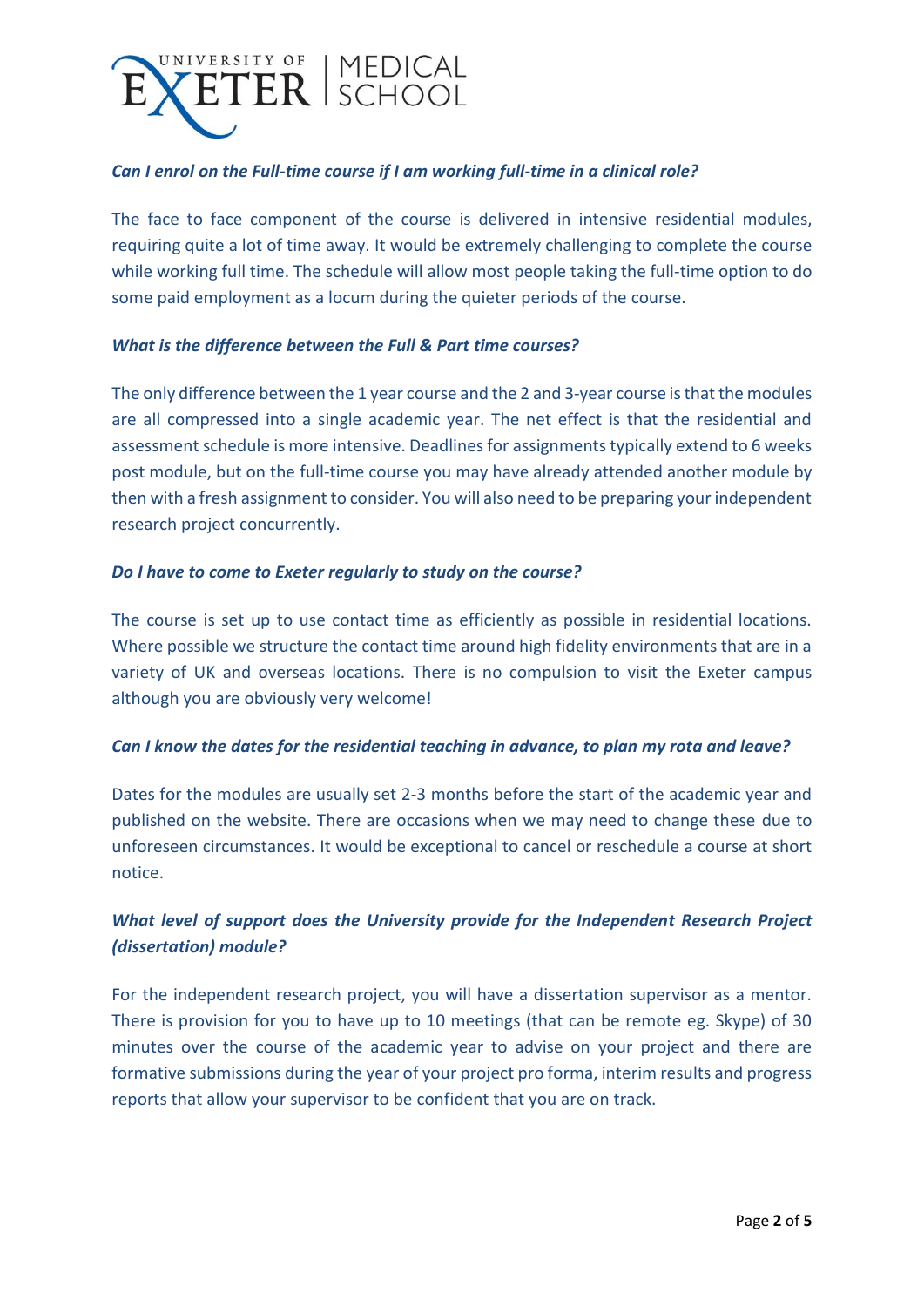

## *Can I enrol on the Full-time course if I am working full-time in a clinical role?*

The face to face component of the course is delivered in intensive residential modules, requiring quite a lot of time away. It would be extremely challenging to complete the course while working full time. The schedule will allow most people taking the full-time option to do some paid employment as a locum during the quieter periods of the course.

### *What is the difference between the Full & Part time courses?*

The only difference between the 1 year course and the 2 and 3-year course is that the modules are all compressed into a single academic year. The net effect is that the residential and assessment schedule is more intensive. Deadlines for assignments typically extend to 6 weeks post module, but on the full-time course you may have already attended another module by then with a fresh assignment to consider. You will also need to be preparing your independent research project concurrently.

## *Do I have to come to Exeter regularly to study on the course?*

The course is set up to use contact time as efficiently as possible in residential locations. Where possible we structure the contact time around high fidelity environments that are in a variety of UK and overseas locations. There is no compulsion to visit the Exeter campus although you are obviously very welcome!

### *Can I know the dates for the residential teaching in advance, to plan my rota and leave?*

Dates for the modules are usually set 2-3 months before the start of the academic year and published on the website. There are occasions when we may need to change these due to unforeseen circumstances. It would be exceptional to cancel or reschedule a course at short notice.

# *What level of support does the University provide for the Independent Research Project (dissertation) module?*

For the independent research project, you will have a dissertation supervisor as a mentor. There is provision for you to have up to 10 meetings (that can be remote eg. Skype) of 30 minutes over the course of the academic year to advise on your project and there are formative submissions during the year of your project pro forma, interim results and progress reports that allow your supervisor to be confident that you are on track.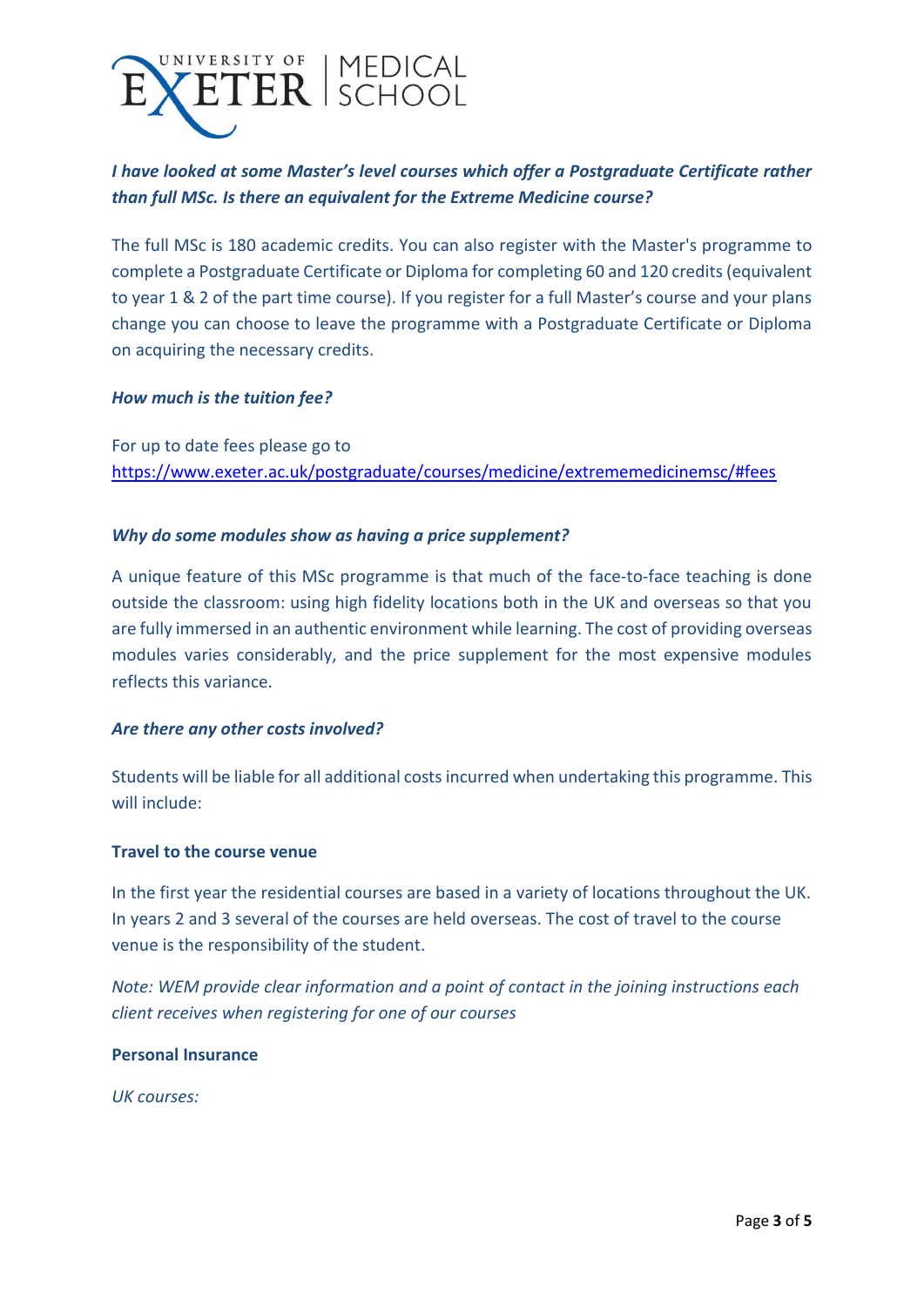

# *I have looked at some Master's level courses which offer a Postgraduate Certificate rather than full MSc. Is there an equivalent for the Extreme Medicine course?*

The full MSc is 180 academic credits. You can also register with the Master's programme to complete a Postgraduate Certificate or Diploma for completing 60 and 120 credits (equivalent to year 1 & 2 of the part time course). If you register for a full Master's course and your plans change you can choose to leave the programme with a Postgraduate Certificate or Diploma on acquiring the necessary credits.

### *How much is the tuition fee?*

For up to date fees please go to <https://www.exeter.ac.uk/postgraduate/courses/medicine/extrememedicinemsc/#fees>

## *Why do some modules show as having a price supplement?*

A unique feature of this MSc programme is that much of the face-to-face teaching is done outside the classroom: using high fidelity locations both in the UK and overseas so that you are fully immersed in an authentic environment while learning. The cost of providing overseas modules varies considerably, and the price supplement for the most expensive modules reflects this variance.

### *Are there any other costs involved?*

Students will be liable for all additional costs incurred when undertaking this programme. This will include:

### **Travel to the course venue**

In the first year the residential courses are based in a variety of locations throughout the UK. In years 2 and 3 several of the courses are held overseas. The cost of travel to the course venue is the responsibility of the student.

*Note: WEM provide clear information and a point of contact in the joining instructions each client receives when registering for one of our courses*

### **Personal Insurance**

*UK courses:*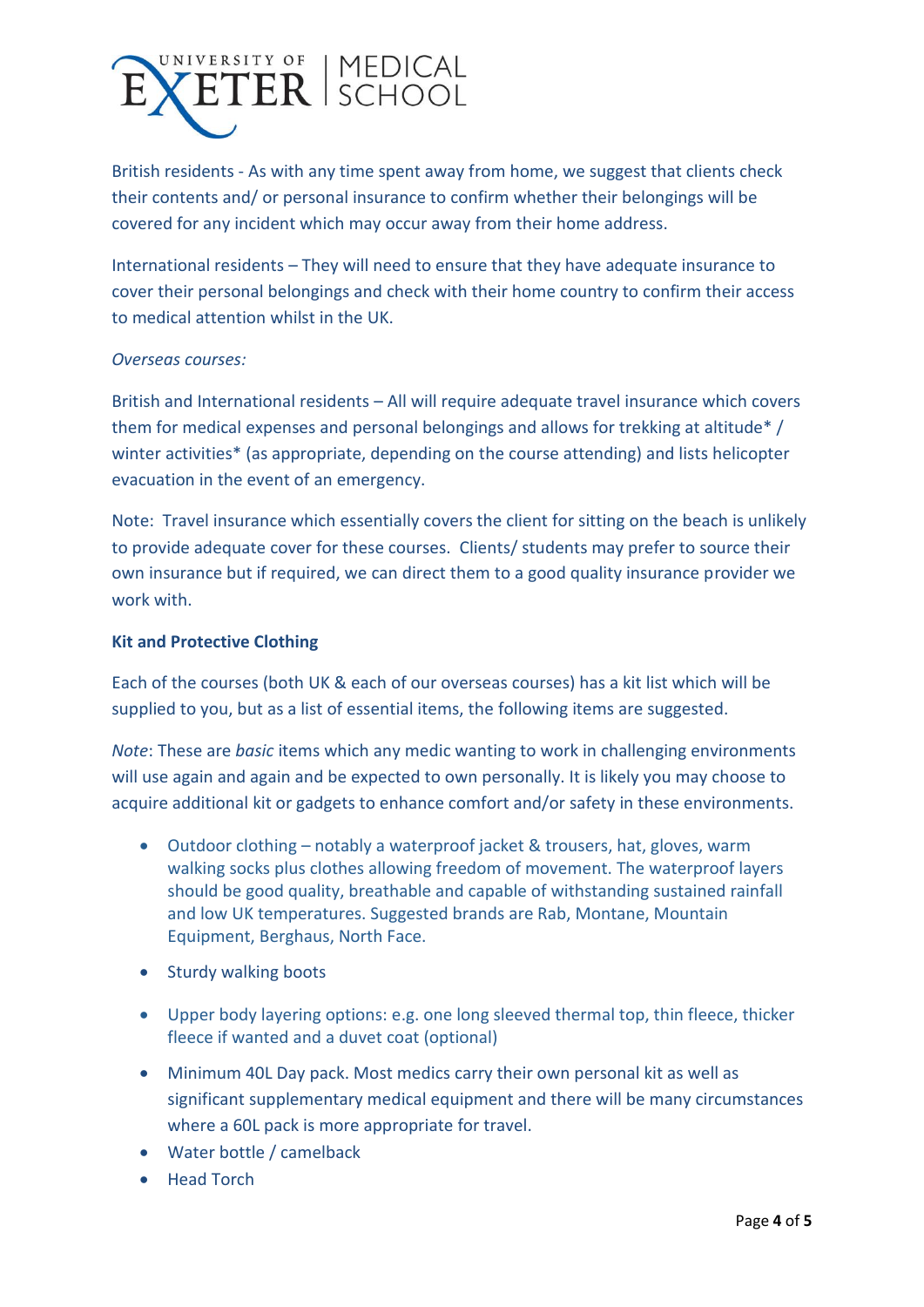

British residents - As with any time spent away from home, we suggest that clients check their contents and/ or personal insurance to confirm whether their belongings will be covered for any incident which may occur away from their home address.

International residents – They will need to ensure that they have adequate insurance to cover their personal belongings and check with their home country to confirm their access to medical attention whilst in the UK.

#### *Overseas courses:*

British and International residents – All will require adequate travel insurance which covers them for medical expenses and personal belongings and allows for trekking at altitude\* / winter activities\* (as appropriate, depending on the course attending) and lists helicopter evacuation in the event of an emergency.

Note: Travel insurance which essentially covers the client for sitting on the beach is unlikely to provide adequate cover for these courses. Clients/ students may prefer to source their own insurance but if required, we can direct them to a good quality insurance provider we work with.

#### **Kit and Protective Clothing**

Each of the courses (both UK & each of our overseas courses) has a kit list which will be supplied to you, but as a list of essential items, the following items are suggested.

*Note*: These are *basic* items which any medic wanting to work in challenging environments will use again and again and be expected to own personally. It is likely you may choose to acquire additional kit or gadgets to enhance comfort and/or safety in these environments.

- Outdoor clothing notably a waterproof jacket & trousers, hat, gloves, warm walking socks plus clothes allowing freedom of movement. The waterproof layers should be good quality, breathable and capable of withstanding sustained rainfall and low UK temperatures. Suggested brands are Rab, Montane, Mountain Equipment, Berghaus, North Face.
- Sturdy walking boots
- Upper body layering options: e.g. one long sleeved thermal top, thin fleece, thicker fleece if wanted and a duvet coat (optional)
- Minimum 40L Day pack. Most medics carry their own personal kit as well as significant supplementary medical equipment and there will be many circumstances where a 60L pack is more appropriate for travel.
- Water bottle / camelback
- Head Torch